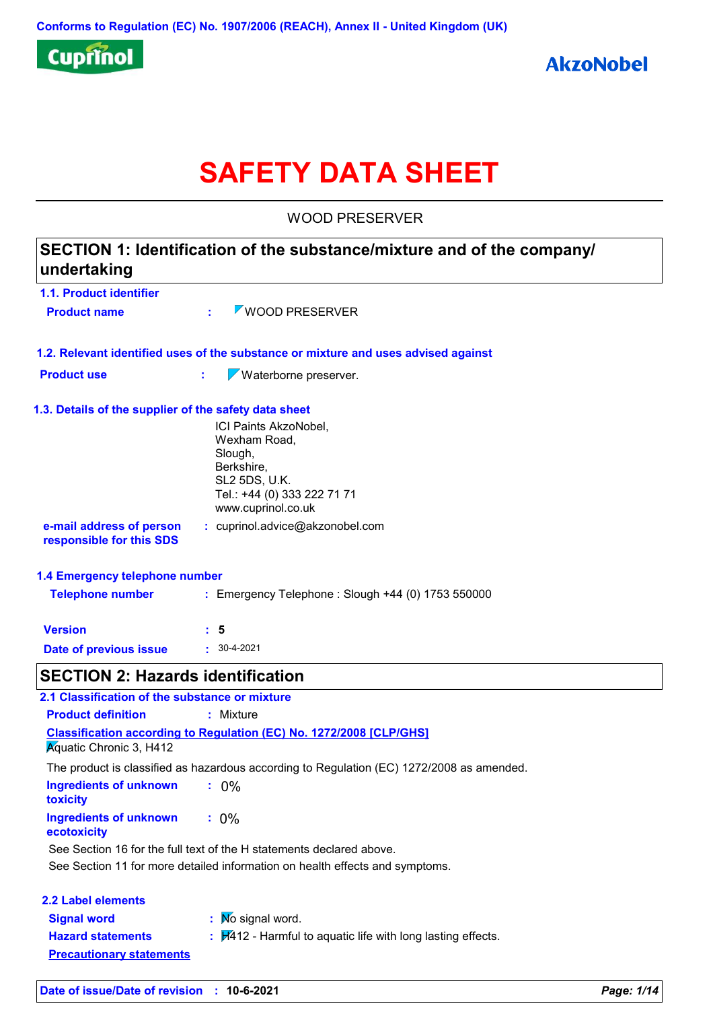

# **SAFETY DATA SHEET**

WOOD PRESERVER

| undertaking                                           | SECTION 1: Identification of the substance/mixture and of the company/                                                                               |            |
|-------------------------------------------------------|------------------------------------------------------------------------------------------------------------------------------------------------------|------------|
| <b>1.1. Product identifier</b>                        |                                                                                                                                                      |            |
| <b>Product name</b>                                   | WOOD PRESERVER                                                                                                                                       |            |
|                                                       | 1.2. Relevant identified uses of the substance or mixture and uses advised against                                                                   |            |
| <b>Product use</b>                                    | Waterborne preserver.<br>t.                                                                                                                          |            |
| 1.3. Details of the supplier of the safety data sheet |                                                                                                                                                      |            |
|                                                       | ICI Paints AkzoNobel,<br>Wexham Road,<br>Slough,<br>Berkshire,<br>SL2 5DS, U.K.<br>Tel.: +44 (0) 333 222 71 71<br>www.cuprinol.co.uk                 |            |
| e-mail address of person<br>responsible for this SDS  | : cuprinol.advice@akzonobel.com                                                                                                                      |            |
| 1.4 Emergency telephone number                        |                                                                                                                                                      |            |
| <b>Telephone number</b>                               | : Emergency Telephone : Slough +44 (0) 1753 550000                                                                                                   |            |
| <b>Version</b>                                        | : 5                                                                                                                                                  |            |
| Date of previous issue                                | $: 30-4-2021$                                                                                                                                        |            |
| <b>SECTION 2: Hazards identification</b>              |                                                                                                                                                      |            |
| 2.1 Classification of the substance or mixture        |                                                                                                                                                      |            |
| <b>Product definition</b>                             | : Mixture                                                                                                                                            |            |
|                                                       | <b>Classification according to Regulation (EC) No. 1272/2008 [CLP/GHS]</b>                                                                           |            |
| <b>Aguatic Chronic 3, H412</b>                        |                                                                                                                                                      |            |
|                                                       | The product is classified as hazardous according to Regulation (EC) 1272/2008 as amended.                                                            |            |
| <b>Ingredients of unknown</b><br>toxicity             | $: 0\%$                                                                                                                                              |            |
| <b>Ingredients of unknown</b><br>ecotoxicity          | $: 0\%$                                                                                                                                              |            |
|                                                       | See Section 16 for the full text of the H statements declared above.<br>See Section 11 for more detailed information on health effects and symptoms. |            |
| <b>2.2 Label elements</b>                             |                                                                                                                                                      |            |
| <b>Signal word</b>                                    | : Mo signal word.                                                                                                                                    |            |
| <b>Hazard statements</b>                              | $\frac{1}{2}$ $\frac{1}{2}$ - Harmful to aquatic life with long lasting effects.                                                                     |            |
| <b>Precautionary statements</b>                       |                                                                                                                                                      |            |
| Date of issue/Date of revision :                      | 10-6-2021                                                                                                                                            | Page: 1/14 |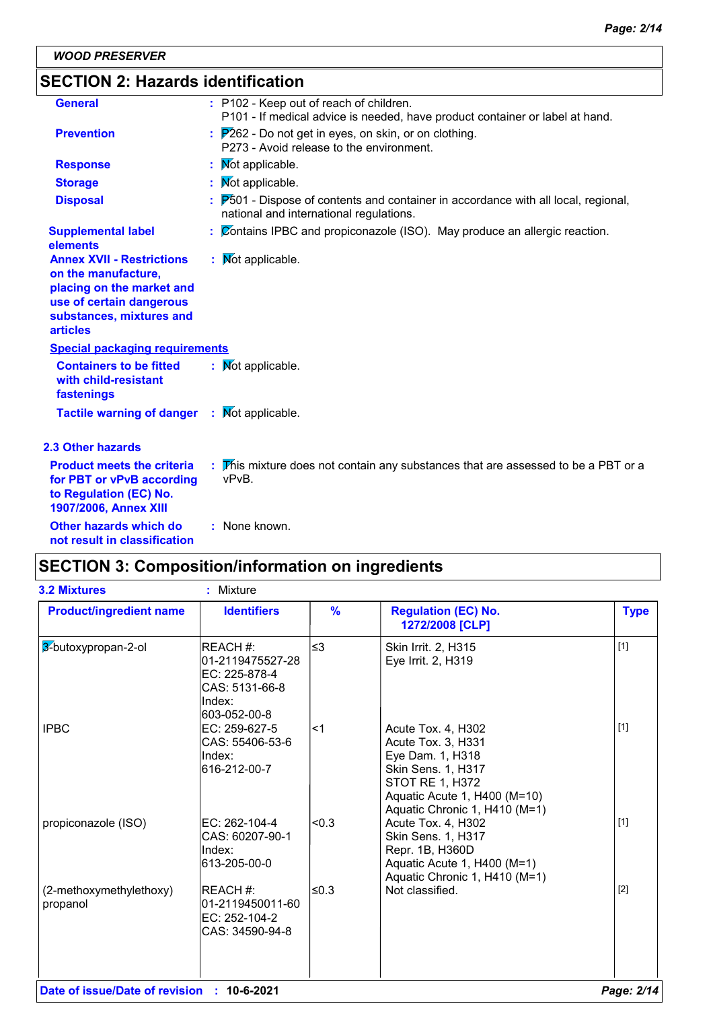## **SECTION 2: Hazards identification**

| <b>General</b>                                                                                                                                                  | : P102 - Keep out of reach of children.<br>P101 - If medical advice is needed, have product container or label at hand.                                |
|-----------------------------------------------------------------------------------------------------------------------------------------------------------------|--------------------------------------------------------------------------------------------------------------------------------------------------------|
| <b>Prevention</b>                                                                                                                                               | $\frac{1}{2}$ $\mathbb{P}262$ - Do not get in eyes, on skin, or on clothing.<br>P273 - Avoid release to the environment.                               |
| <b>Response</b>                                                                                                                                                 | : Mot applicable.                                                                                                                                      |
| <b>Storage</b>                                                                                                                                                  | : Mot applicable.                                                                                                                                      |
| <b>Disposal</b>                                                                                                                                                 | $\frac{1}{2}$ $\overline{P}501$ - Dispose of contents and container in accordance with all local, regional,<br>national and international regulations. |
| <b>Supplemental label</b><br>elements                                                                                                                           | $\frac{1}{2}$ $\sqrt{2}$ Contains IPBC and propiconazole (ISO). May produce an allergic reaction.                                                      |
| <b>Annex XVII - Restrictions</b><br>on the manufacture,<br>placing on the market and<br>use of certain dangerous<br>substances, mixtures and<br><b>articles</b> | : Mot applicable.                                                                                                                                      |
| <b>Special packaging requirements</b>                                                                                                                           |                                                                                                                                                        |
| <b>Containers to be fitted</b><br>with child-resistant<br>fastenings                                                                                            | : Mot applicable.                                                                                                                                      |
| Tactile warning of danger : Mot applicable.                                                                                                                     |                                                                                                                                                        |
| <b>2.3 Other hazards</b>                                                                                                                                        |                                                                                                                                                        |
| <b>Product meets the criteria</b><br>for PBT or vPvB according<br>to Regulation (EC) No.<br>1907/2006, Annex XIII                                               | : This mixture does not contain any substances that are assessed to be a PBT or a<br>vPvB.                                                             |
| Other hazards which do<br>not result in classification                                                                                                          | : None known.                                                                                                                                          |

## **SECTION 3: Composition/information on ingredients**

| <b>3.2 Mixtures</b>                 | Mixture<br>ŧ.                                                                             |                |                                                                                                                                                                               |             |
|-------------------------------------|-------------------------------------------------------------------------------------------|----------------|-------------------------------------------------------------------------------------------------------------------------------------------------------------------------------|-------------|
| <b>Product/ingredient name</b>      | <b>Identifiers</b>                                                                        | $\frac{9}{6}$  | <b>Regulation (EC) No.</b><br>1272/2008 [CLP]                                                                                                                                 | <b>Type</b> |
| 3-butoxypropan-2-ol                 | REACH #:<br>01-2119475527-28<br>EC: 225-878-4<br>CAS: 5131-66-8<br>Index:<br>603-052-00-8 | ≤3             | Skin Irrit. 2, H315<br>Eye Irrit. 2, H319                                                                                                                                     | $[1]$       |
| <b>IPBC</b>                         | EC: 259-627-5<br>CAS: 55406-53-6<br>Index:<br>616-212-00-7                                | l<1            | Acute Tox. 4, H302<br>Acute Tox. 3, H331<br>Eye Dam. 1, H318<br>Skin Sens. 1, H317<br><b>STOT RE 1, H372</b><br>Aquatic Acute 1, H400 (M=10)<br>Aquatic Chronic 1, H410 (M=1) | $[1]$       |
| propiconazole (ISO)                 | IEC: 262-104-4<br>CAS: 60207-90-1<br>Index:<br>613-205-00-0                               | <sub>0.3</sub> | Acute Tox. 4, H302<br>Skin Sens. 1, H317<br>Repr. 1B, H360D<br>Aquatic Acute 1, H400 (M=1)<br>Aquatic Chronic 1, H410 (M=1)                                                   | $[1]$       |
| (2-methoxymethylethoxy)<br>propanol | <b>IREACH #:</b><br>01-2119450011-60<br>EC: 252-104-2<br>CAS: 34590-94-8                  | 50.3           | Not classified.                                                                                                                                                               | $[2]$       |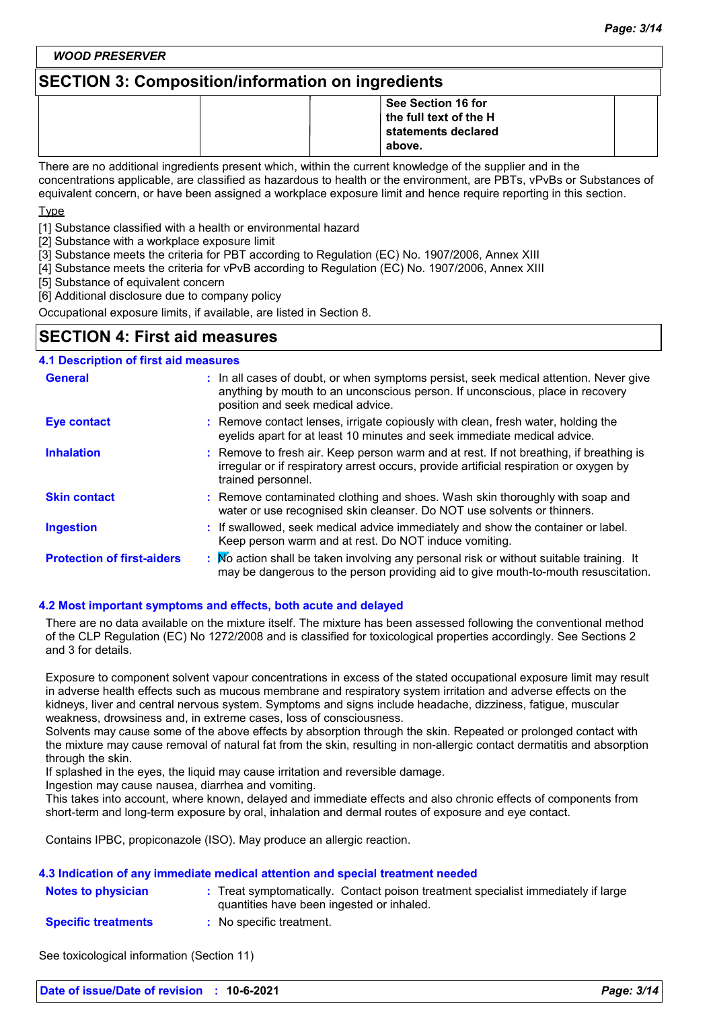*WOOD PRESERVER*

## **SECTION 3: Composition/information on ingredients**

|  | . .                    |  |
|--|------------------------|--|
|  | See Section 16 for     |  |
|  | the full text of the H |  |
|  | statements declared    |  |
|  | above.                 |  |

There are no additional ingredients present which, within the current knowledge of the supplier and in the concentrations applicable, are classified as hazardous to health or the environment, are PBTs, vPvBs or Substances of equivalent concern, or have been assigned a workplace exposure limit and hence require reporting in this section.

Type

[1] Substance classified with a health or environmental hazard

[2] Substance with a workplace exposure limit

[3] Substance meets the criteria for PBT according to Regulation (EC) No. 1907/2006, Annex XIII

[4] Substance meets the criteria for vPvB according to Regulation (EC) No. 1907/2006, Annex XIII

[5] Substance of equivalent concern

[6] Additional disclosure due to company policy

Occupational exposure limits, if available, are listed in Section 8.

## **SECTION 4: First aid measures**

| <b>4.1 Description of first aid measures</b> |                                                                                                                                                                                                             |
|----------------------------------------------|-------------------------------------------------------------------------------------------------------------------------------------------------------------------------------------------------------------|
| <b>General</b>                               | : In all cases of doubt, or when symptoms persist, seek medical attention. Never give<br>anything by mouth to an unconscious person. If unconscious, place in recovery<br>position and seek medical advice. |
| <b>Eye contact</b>                           | : Remove contact lenses, irrigate copiously with clean, fresh water, holding the<br>eyelids apart for at least 10 minutes and seek immediate medical advice.                                                |
| <b>Inhalation</b>                            | : Remove to fresh air. Keep person warm and at rest. If not breathing, if breathing is<br>irregular or if respiratory arrest occurs, provide artificial respiration or oxygen by<br>trained personnel.      |
| <b>Skin contact</b>                          | : Remove contaminated clothing and shoes. Wash skin thoroughly with soap and<br>water or use recognised skin cleanser. Do NOT use solvents or thinners.                                                     |
| <b>Ingestion</b>                             | : If swallowed, seek medical advice immediately and show the container or label.<br>Keep person warm and at rest. Do NOT induce vomiting.                                                                   |
| <b>Protection of first-aiders</b>            | : No action shall be taken involving any personal risk or without suitable training. It<br>may be dangerous to the person providing aid to give mouth-to-mouth resuscitation.                               |

#### **4.2 Most important symptoms and effects, both acute and delayed**

There are no data available on the mixture itself. The mixture has been assessed following the conventional method of the CLP Regulation (EC) No 1272/2008 and is classified for toxicological properties accordingly. See Sections 2 and 3 for details.

Exposure to component solvent vapour concentrations in excess of the stated occupational exposure limit may result in adverse health effects such as mucous membrane and respiratory system irritation and adverse effects on the kidneys, liver and central nervous system. Symptoms and signs include headache, dizziness, fatigue, muscular weakness, drowsiness and, in extreme cases, loss of consciousness.

Solvents may cause some of the above effects by absorption through the skin. Repeated or prolonged contact with the mixture may cause removal of natural fat from the skin, resulting in non-allergic contact dermatitis and absorption through the skin.

If splashed in the eyes, the liquid may cause irritation and reversible damage.

Ingestion may cause nausea, diarrhea and vomiting.

This takes into account, where known, delayed and immediate effects and also chronic effects of components from short-term and long-term exposure by oral, inhalation and dermal routes of exposure and eye contact.

Contains IPBC, propiconazole (ISO). May produce an allergic reaction.

#### **4.3 Indication of any immediate medical attention and special treatment needed**

| <b>Notes to physician</b>  | Treat symptomatically. Contact poison treatment specialist immediately if large<br>quantities have been ingested or inhaled. |
|----------------------------|------------------------------------------------------------------------------------------------------------------------------|
| <b>Specific treatments</b> | : No specific treatment.                                                                                                     |

See toxicological information (Section 11)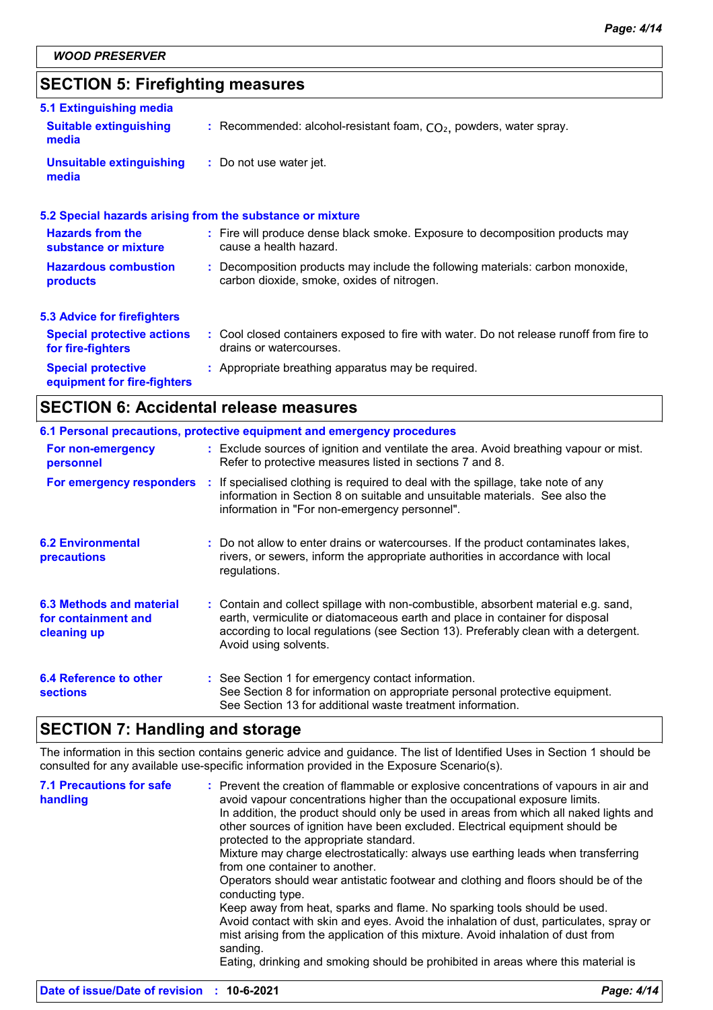## **SECTION 5: Firefighting measures**

| 5.1 Extinguishing media                                  |                                                                                                                              |
|----------------------------------------------------------|------------------------------------------------------------------------------------------------------------------------------|
| <b>Suitable extinguishing</b><br>media                   | : Recommended: alcohol-resistant foam, $CO2$ , powders, water spray.                                                         |
| <b>Unsuitable extinguishing</b><br>media                 | : Do not use water jet.                                                                                                      |
|                                                          | 5.2 Special hazards arising from the substance or mixture                                                                    |
| <b>Hazards from the</b><br>substance or mixture          | : Fire will produce dense black smoke. Exposure to decomposition products may<br>cause a health hazard.                      |
| <b>Hazardous combustion</b><br>products                  | : Decomposition products may include the following materials: carbon monoxide,<br>carbon dioxide, smoke, oxides of nitrogen. |
| <b>5.3 Advice for firefighters</b>                       |                                                                                                                              |
| <b>Special protective actions</b><br>for fire-fighters   | : Cool closed containers exposed to fire with water. Do not release runoff from fire to<br>drains or watercourses.           |
| <b>Special protective</b><br>equipment for fire-fighters | : Appropriate breathing apparatus may be required.                                                                           |

## **SECTION 6: Accidental release measures**

|                                                                | 6.1 Personal precautions, protective equipment and emergency procedures                                                                                                                                                                                                            |
|----------------------------------------------------------------|------------------------------------------------------------------------------------------------------------------------------------------------------------------------------------------------------------------------------------------------------------------------------------|
| For non-emergency<br>personnel                                 | : Exclude sources of ignition and ventilate the area. Avoid breathing vapour or mist.<br>Refer to protective measures listed in sections 7 and 8.                                                                                                                                  |
| For emergency responders                                       | : If specialised clothing is required to deal with the spillage, take note of any<br>information in Section 8 on suitable and unsuitable materials. See also the<br>information in "For non-emergency personnel".                                                                  |
| <b>6.2 Environmental</b><br>precautions                        | : Do not allow to enter drains or watercourses. If the product contaminates lakes,<br>rivers, or sewers, inform the appropriate authorities in accordance with local<br>regulations.                                                                                               |
| 6.3 Methods and material<br>for containment and<br>cleaning up | : Contain and collect spillage with non-combustible, absorbent material e.g. sand,<br>earth, vermiculite or diatomaceous earth and place in container for disposal<br>according to local regulations (see Section 13). Preferably clean with a detergent.<br>Avoid using solvents. |
| 6.4 Reference to other<br><b>sections</b>                      | : See Section 1 for emergency contact information.<br>See Section 8 for information on appropriate personal protective equipment.<br>See Section 13 for additional waste treatment information.                                                                                    |

## **SECTION 7: Handling and storage**

The information in this section contains generic advice and guidance. The list of Identified Uses in Section 1 should be consulted for any available use-specific information provided in the Exposure Scenario(s).

| <b>7.1 Precautions for safe</b><br>handling | : Prevent the creation of flammable or explosive concentrations of vapours in air and<br>avoid vapour concentrations higher than the occupational exposure limits.<br>In addition, the product should only be used in areas from which all naked lights and<br>other sources of ignition have been excluded. Electrical equipment should be<br>protected to the appropriate standard. |
|---------------------------------------------|---------------------------------------------------------------------------------------------------------------------------------------------------------------------------------------------------------------------------------------------------------------------------------------------------------------------------------------------------------------------------------------|
|                                             | Mixture may charge electrostatically: always use earthing leads when transferring<br>from one container to another.<br>Operators should wear antistatic footwear and clothing and floors should be of the<br>conducting type.                                                                                                                                                         |
|                                             | Keep away from heat, sparks and flame. No sparking tools should be used.<br>Avoid contact with skin and eyes. Avoid the inhalation of dust, particulates, spray or<br>mist arising from the application of this mixture. Avoid inhalation of dust from<br>sanding.<br>Eating, drinking and smoking should be prohibited in areas where this material is                               |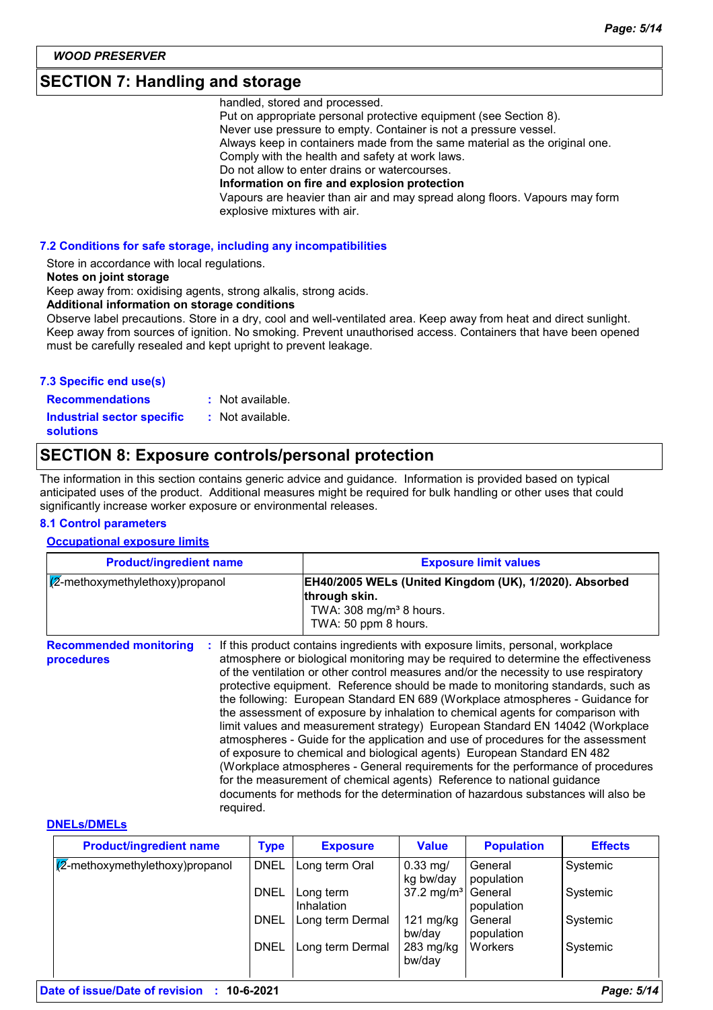## **SECTION 7: Handling and storage**

handled, stored and processed.

Put on appropriate personal protective equipment (see Section 8). Never use pressure to empty. Container is not a pressure vessel. Always keep in containers made from the same material as the original one. Comply with the health and safety at work laws. Do not allow to enter drains or watercourses. **Information on fire and explosion protection** Vapours are heavier than air and may spread along floors. Vapours may form explosive mixtures with air.

#### **7.2 Conditions for safe storage, including any incompatibilities**

Store in accordance with local regulations.

#### **Notes on joint storage**

Keep away from: oxidising agents, strong alkalis, strong acids.

**Additional information on storage conditions**

Observe label precautions. Store in a dry, cool and well-ventilated area. Keep away from heat and direct sunlight. Keep away from sources of ignition. No smoking. Prevent unauthorised access. Containers that have been opened must be carefully resealed and kept upright to prevent leakage.

#### **7.3 Specific end use(s)**

**Recommendations : Industrial sector specific : solutions**

- : Not available.
- : Not available.

## **SECTION 8: Exposure controls/personal protection**

The information in this section contains generic advice and guidance. Information is provided based on typical anticipated uses of the product. Additional measures might be required for bulk handling or other uses that could significantly increase worker exposure or environmental releases.

#### **8.1 Control parameters**

#### **Occupational exposure limits**

| <b>Product/ingredient name</b><br>$\sqrt{2}$ -methoxymethylethoxy)propanol |           | <b>Exposure limit values</b>                                                                                                                                                                                                                                                                                                                                                                                                                                                                                                                                                                                                                                                                                                                                                                                                                                                                                                                                                                                        |  |
|----------------------------------------------------------------------------|-----------|---------------------------------------------------------------------------------------------------------------------------------------------------------------------------------------------------------------------------------------------------------------------------------------------------------------------------------------------------------------------------------------------------------------------------------------------------------------------------------------------------------------------------------------------------------------------------------------------------------------------------------------------------------------------------------------------------------------------------------------------------------------------------------------------------------------------------------------------------------------------------------------------------------------------------------------------------------------------------------------------------------------------|--|
|                                                                            |           | EH40/2005 WELs (United Kingdom (UK), 1/2020). Absorbed<br>through skin.<br>TWA: $308 \text{ mg/m}^3$ 8 hours.<br>TWA: 50 ppm 8 hours.                                                                                                                                                                                                                                                                                                                                                                                                                                                                                                                                                                                                                                                                                                                                                                                                                                                                               |  |
| <b>Recommended monitoring</b><br>procedures                                | required. | If this product contains ingredients with exposure limits, personal, workplace<br>atmosphere or biological monitoring may be required to determine the effectiveness<br>of the ventilation or other control measures and/or the necessity to use respiratory<br>protective equipment. Reference should be made to monitoring standards, such as<br>the following: European Standard EN 689 (Workplace atmospheres - Guidance for<br>the assessment of exposure by inhalation to chemical agents for comparison with<br>limit values and measurement strategy) European Standard EN 14042 (Workplace<br>atmospheres - Guide for the application and use of procedures for the assessment<br>of exposure to chemical and biological agents) European Standard EN 482<br>(Workplace atmospheres - General requirements for the performance of procedures<br>for the measurement of chemical agents) Reference to national guidance<br>documents for methods for the determination of hazardous substances will also be |  |

#### **DNELs/DMELs**

| <b>Product/ingredient name</b>           | <b>Type</b> | <b>Exposure</b>         | <b>Value</b>                  | <b>Population</b>     | <b>Effects</b> |
|------------------------------------------|-------------|-------------------------|-------------------------------|-----------------------|----------------|
| $\sqrt{2}$ -methoxymethylethoxy)propanol | <b>DNEL</b> | Long term Oral          | $0.33$ mg/<br>kg bw/day       | General<br>population | Systemic       |
|                                          | <b>DNEL</b> | Long term<br>Inhalation | 37.2 mg/m <sup>3</sup>        | General<br>population | Systemic       |
|                                          | <b>DNEL</b> | Long term Dermal        | $121 \text{ mg/kg}$<br>bw/day | General<br>population | Systemic       |
|                                          | <b>DNEL</b> | Long term Dermal        | $283$ mg/kg<br>bw/day         | Workers               | Systemic       |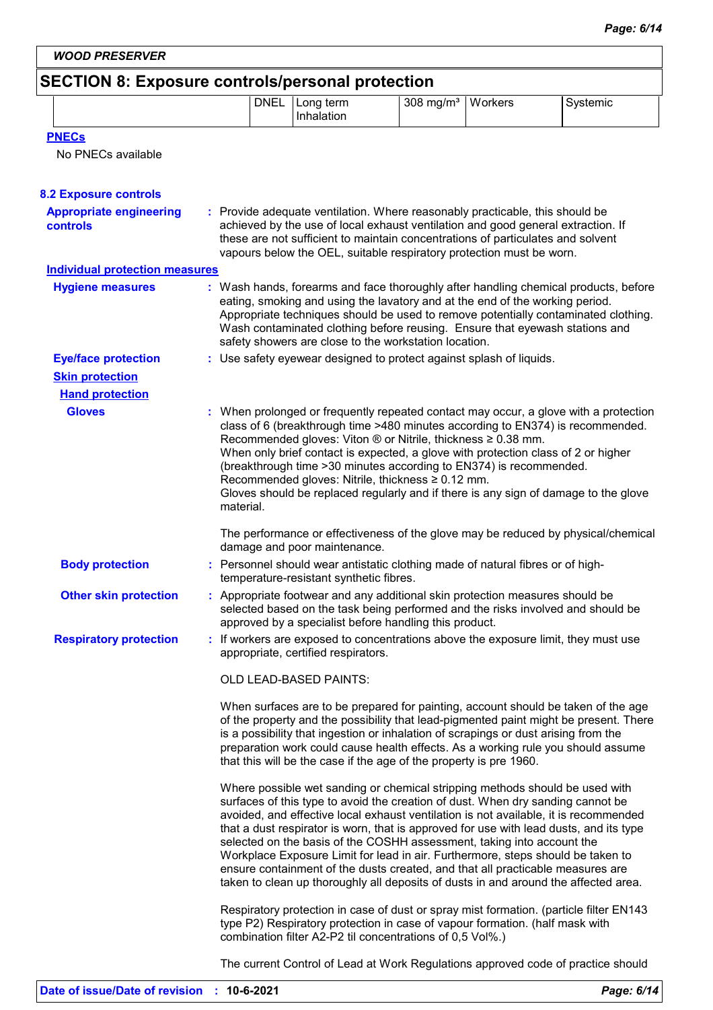*WOOD PRESERVER*

## **SECTION 8: Exposure controls/personal protection**

| <b>DNEL</b><br>308<br>١A<br>term<br>≧rkers<br>1 <sup>2</sup><br>$\sim$<br>ma<br>∟ona *<br>⊤ernic<br>-17<br>าaıatıon | . | . . | __ |  |  |
|---------------------------------------------------------------------------------------------------------------------|---|-----|----|--|--|
|                                                                                                                     |   |     |    |  |  |

| <b>PNECs</b> |
|--------------|
|--------------|

No PNECs available

| <b>8.2 Exposure controls</b>               |                                                                                                                                                                                                                                                                                                                                                                                                                                                                                                                                                                                                                                                                                         |  |
|--------------------------------------------|-----------------------------------------------------------------------------------------------------------------------------------------------------------------------------------------------------------------------------------------------------------------------------------------------------------------------------------------------------------------------------------------------------------------------------------------------------------------------------------------------------------------------------------------------------------------------------------------------------------------------------------------------------------------------------------------|--|
| <b>Appropriate engineering</b><br>controls | : Provide adequate ventilation. Where reasonably practicable, this should be<br>achieved by the use of local exhaust ventilation and good general extraction. If<br>these are not sufficient to maintain concentrations of particulates and solvent<br>vapours below the OEL, suitable respiratory protection must be worn.                                                                                                                                                                                                                                                                                                                                                             |  |
| <b>Individual protection measures</b>      |                                                                                                                                                                                                                                                                                                                                                                                                                                                                                                                                                                                                                                                                                         |  |
| <b>Hygiene measures</b>                    | : Wash hands, forearms and face thoroughly after handling chemical products, before<br>eating, smoking and using the lavatory and at the end of the working period.<br>Appropriate techniques should be used to remove potentially contaminated clothing.<br>Wash contaminated clothing before reusing. Ensure that eyewash stations and<br>safety showers are close to the workstation location.                                                                                                                                                                                                                                                                                       |  |
| <b>Eye/face protection</b>                 | : Use safety eyewear designed to protect against splash of liquids.                                                                                                                                                                                                                                                                                                                                                                                                                                                                                                                                                                                                                     |  |
| <b>Skin protection</b>                     |                                                                                                                                                                                                                                                                                                                                                                                                                                                                                                                                                                                                                                                                                         |  |
| <b>Hand protection</b>                     |                                                                                                                                                                                                                                                                                                                                                                                                                                                                                                                                                                                                                                                                                         |  |
| <b>Gloves</b>                              | : When prolonged or frequently repeated contact may occur, a glove with a protection<br>class of 6 (breakthrough time >480 minutes according to EN374) is recommended.<br>Recommended gloves: Viton ® or Nitrile, thickness ≥ 0.38 mm.<br>When only brief contact is expected, a glove with protection class of 2 or higher<br>(breakthrough time > 30 minutes according to EN374) is recommended.<br>Recommended gloves: Nitrile, thickness ≥ 0.12 mm.<br>Gloves should be replaced regularly and if there is any sign of damage to the glove<br>material.                                                                                                                             |  |
|                                            | The performance or effectiveness of the glove may be reduced by physical/chemical<br>damage and poor maintenance.                                                                                                                                                                                                                                                                                                                                                                                                                                                                                                                                                                       |  |
| <b>Body protection</b>                     | : Personnel should wear antistatic clothing made of natural fibres or of high-<br>temperature-resistant synthetic fibres.                                                                                                                                                                                                                                                                                                                                                                                                                                                                                                                                                               |  |
| <b>Other skin protection</b>               | : Appropriate footwear and any additional skin protection measures should be<br>selected based on the task being performed and the risks involved and should be<br>approved by a specialist before handling this product.                                                                                                                                                                                                                                                                                                                                                                                                                                                               |  |
| <b>Respiratory protection</b>              | : If workers are exposed to concentrations above the exposure limit, they must use<br>appropriate, certified respirators.                                                                                                                                                                                                                                                                                                                                                                                                                                                                                                                                                               |  |
|                                            | OLD LEAD-BASED PAINTS:                                                                                                                                                                                                                                                                                                                                                                                                                                                                                                                                                                                                                                                                  |  |
|                                            | When surfaces are to be prepared for painting, account should be taken of the age<br>of the property and the possibility that lead-pigmented paint might be present. There<br>is a possibility that ingestion or inhalation of scrapings or dust arising from the<br>preparation work could cause health effects. As a working rule you should assume<br>that this will be the case if the age of the property is pre 1960.                                                                                                                                                                                                                                                             |  |
|                                            | Where possible wet sanding or chemical stripping methods should be used with<br>surfaces of this type to avoid the creation of dust. When dry sanding cannot be<br>avoided, and effective local exhaust ventilation is not available, it is recommended<br>that a dust respirator is worn, that is approved for use with lead dusts, and its type<br>selected on the basis of the COSHH assessment, taking into account the<br>Workplace Exposure Limit for lead in air. Furthermore, steps should be taken to<br>ensure containment of the dusts created, and that all practicable measures are<br>taken to clean up thoroughly all deposits of dusts in and around the affected area. |  |
|                                            | Respiratory protection in case of dust or spray mist formation. (particle filter EN143<br>type P2) Respiratory protection in case of vapour formation. (half mask with<br>combination filter A2-P2 til concentrations of 0,5 Vol%.)                                                                                                                                                                                                                                                                                                                                                                                                                                                     |  |
|                                            | The current Control of Lead at Work Regulations approved code of practice should                                                                                                                                                                                                                                                                                                                                                                                                                                                                                                                                                                                                        |  |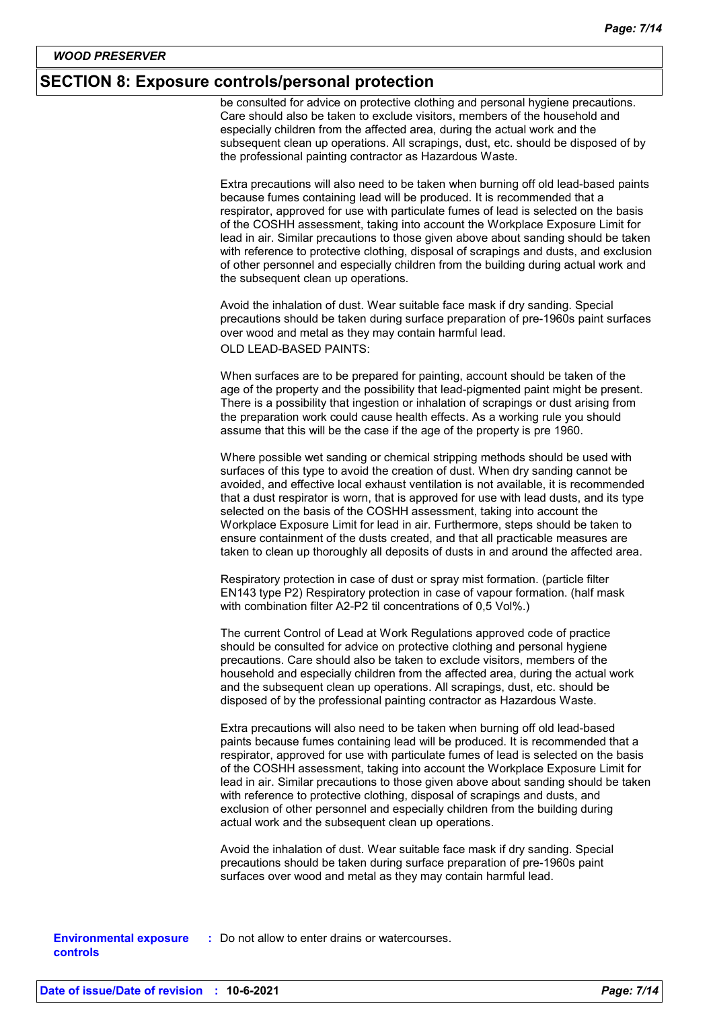#### **SECTION 8: Exposure controls/personal protection**

be consulted for advice on protective clothing and personal hygiene precautions. Care should also be taken to exclude visitors, members of the household and especially children from the affected area, during the actual work and the subsequent clean up operations. All scrapings, dust, etc. should be disposed of by the professional painting contractor as Hazardous Waste.

Extra precautions will also need to be taken when burning off old lead-based paints because fumes containing lead will be produced. It is recommended that a respirator, approved for use with particulate fumes of lead is selected on the basis of the COSHH assessment, taking into account the Workplace Exposure Limit for lead in air. Similar precautions to those given above about sanding should be taken with reference to protective clothing, disposal of scrapings and dusts, and exclusion of other personnel and especially children from the building during actual work and the subsequent clean up operations.

Avoid the inhalation of dust. Wear suitable face mask if dry sanding. Special precautions should be taken during surface preparation of pre-1960s paint surfaces over wood and metal as they may contain harmful lead. OLD LEAD-BASED PAINTS:

When surfaces are to be prepared for painting, account should be taken of the age of the property and the possibility that lead-pigmented paint might be present. There is a possibility that ingestion or inhalation of scrapings or dust arising from the preparation work could cause health effects. As a working rule you should assume that this will be the case if the age of the property is pre 1960.

Where possible wet sanding or chemical stripping methods should be used with surfaces of this type to avoid the creation of dust. When dry sanding cannot be avoided, and effective local exhaust ventilation is not available, it is recommended that a dust respirator is worn, that is approved for use with lead dusts, and its type selected on the basis of the COSHH assessment, taking into account the Workplace Exposure Limit for lead in air. Furthermore, steps should be taken to ensure containment of the dusts created, and that all practicable measures are taken to clean up thoroughly all deposits of dusts in and around the affected area.

Respiratory protection in case of dust or spray mist formation. (particle filter EN143 type P2) Respiratory protection in case of vapour formation. (half mask with combination filter A2-P2 til concentrations of 0,5 Vol%.)

The current Control of Lead at Work Regulations approved code of practice should be consulted for advice on protective clothing and personal hygiene precautions. Care should also be taken to exclude visitors, members of the household and especially children from the affected area, during the actual work and the subsequent clean up operations. All scrapings, dust, etc. should be disposed of by the professional painting contractor as Hazardous Waste.

Extra precautions will also need to be taken when burning off old lead-based paints because fumes containing lead will be produced. It is recommended that a respirator, approved for use with particulate fumes of lead is selected on the basis of the COSHH assessment, taking into account the Workplace Exposure Limit for lead in air. Similar precautions to those given above about sanding should be taken with reference to protective clothing, disposal of scrapings and dusts, and exclusion of other personnel and especially children from the building during actual work and the subsequent clean up operations.

Avoid the inhalation of dust. Wear suitable face mask if dry sanding. Special precautions should be taken during surface preparation of pre-1960s paint surfaces over wood and metal as they may contain harmful lead.

**Environmental exposure : Do not allow to enter drains or watercourses. controls**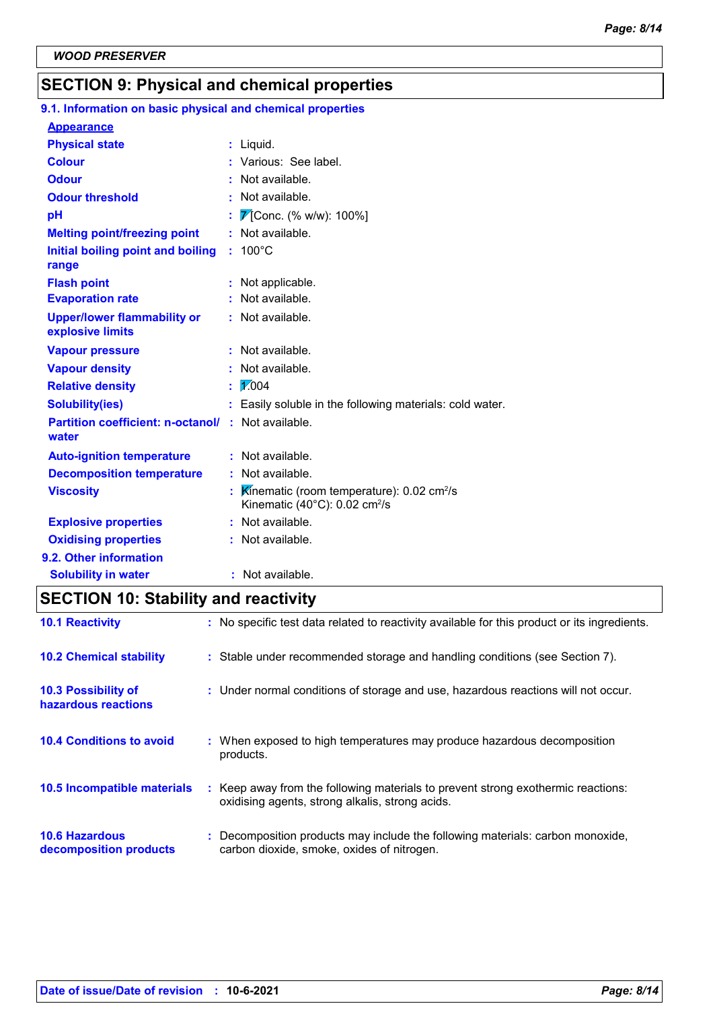## **SECTION 9: Physical and chemical properties**

| 9.1. Information on basic physical and chemical properties         |                                                                                                                    |
|--------------------------------------------------------------------|--------------------------------------------------------------------------------------------------------------------|
| <b>Appearance</b>                                                  |                                                                                                                    |
| <b>Physical state</b>                                              | : Liquid.                                                                                                          |
| <b>Colour</b>                                                      | : Various: See label.                                                                                              |
| <b>Odour</b>                                                       | Not available.                                                                                                     |
| <b>Odour threshold</b>                                             | : Not available.                                                                                                   |
| pH                                                                 | 7 [Conc. (% w/w): 100%]                                                                                            |
| <b>Melting point/freezing point</b>                                | : Not available.                                                                                                   |
| Initial boiling point and boiling<br>range                         | $: 100^{\circ}$ C                                                                                                  |
| <b>Flash point</b>                                                 | Not applicable.                                                                                                    |
| <b>Evaporation rate</b>                                            | Not available.                                                                                                     |
| <b>Upper/lower flammability or</b><br>explosive limits             | : Not available.                                                                                                   |
| <b>Vapour pressure</b>                                             | : Not available.                                                                                                   |
| <b>Vapour density</b>                                              | : Not available.                                                                                                   |
| <b>Relative density</b>                                            | 1,004                                                                                                              |
| <b>Solubility(ies)</b>                                             | : Easily soluble in the following materials: cold water.                                                           |
| <b>Partition coefficient: n-octanol/ : Not available.</b><br>water |                                                                                                                    |
| <b>Auto-ignition temperature</b>                                   | : Not available.                                                                                                   |
| <b>Decomposition temperature</b>                                   | : Not available.                                                                                                   |
| <b>Viscosity</b>                                                   | Kinematic (room temperature): $0.02 \text{ cm}^2/\text{s}$<br>Kinematic (40 $^{\circ}$ C): 0.02 cm <sup>2</sup> /s |
| <b>Explosive properties</b>                                        | : Not available.                                                                                                   |
| <b>Oxidising properties</b>                                        | : Not available.                                                                                                   |
| 9.2. Other information                                             |                                                                                                                    |
| <b>Solubility in water</b>                                         | : Not available.                                                                                                   |

## **SECTION 10: Stability and reactivity**

| <b>10.1 Reactivity</b>                            | : No specific test data related to reactivity available for this product or its ingredients.                                        |
|---------------------------------------------------|-------------------------------------------------------------------------------------------------------------------------------------|
| <b>10.2 Chemical stability</b>                    | : Stable under recommended storage and handling conditions (see Section 7).                                                         |
| <b>10.3 Possibility of</b><br>hazardous reactions | : Under normal conditions of storage and use, hazardous reactions will not occur.                                                   |
| <b>10.4 Conditions to avoid</b>                   | : When exposed to high temperatures may produce hazardous decomposition<br>products.                                                |
| <b>10.5 Incompatible materials</b>                | : Keep away from the following materials to prevent strong exothermic reactions:<br>oxidising agents, strong alkalis, strong acids. |
| <b>10.6 Hazardous</b><br>decomposition products   | Decomposition products may include the following materials: carbon monoxide,<br>carbon dioxide, smoke, oxides of nitrogen.          |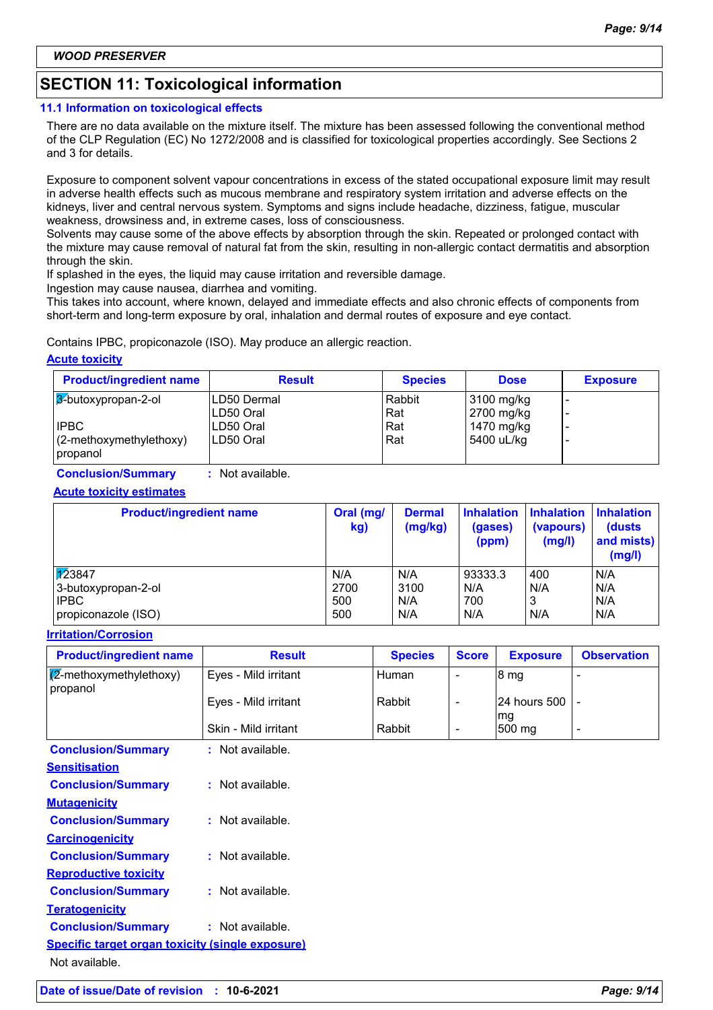## **SECTION 11: Toxicological information**

#### **11.1 Information on toxicological effects**

There are no data available on the mixture itself. The mixture has been assessed following the conventional method of the CLP Regulation (EC) No 1272/2008 and is classified for toxicological properties accordingly. See Sections 2 and 3 for details.

Exposure to component solvent vapour concentrations in excess of the stated occupational exposure limit may result in adverse health effects such as mucous membrane and respiratory system irritation and adverse effects on the kidneys, liver and central nervous system. Symptoms and signs include headache, dizziness, fatigue, muscular weakness, drowsiness and, in extreme cases, loss of consciousness.

Solvents may cause some of the above effects by absorption through the skin. Repeated or prolonged contact with the mixture may cause removal of natural fat from the skin, resulting in non-allergic contact dermatitis and absorption through the skin.

If splashed in the eyes, the liquid may cause irritation and reversible damage.

Ingestion may cause nausea, diarrhea and vomiting.

This takes into account, where known, delayed and immediate effects and also chronic effects of components from short-term and long-term exposure by oral, inhalation and dermal routes of exposure and eye contact.

Contains IPBC, propiconazole (ISO). May produce an allergic reaction.

#### **Acute toxicity**

| <b>Product/ingredient name</b>   | <b>Result</b>            | <b>Species</b> | <b>Dose</b>              | <b>Exposure</b> |
|----------------------------------|--------------------------|----------------|--------------------------|-----------------|
| 3-butoxypropan-2-ol              | ILD50 Dermal             | Rabbit         | 3100 mg/kg               |                 |
| <b>IPBC</b>                      | ILD50 Oral<br>ILD50 Oral | Rat<br>Rat     | 2700 mg/kg<br>1470 mg/kg |                 |
| $(2-methoxy method)$<br>propanol | ILD50 Oral               | Rat            | 5400 uL/kg               |                 |

**Conclusion/Summary :** Not available.

#### **Acute toxicity estimates**

| <b>Product/ingredient name</b> | Oral (mg/<br>kg) | <b>Dermal</b><br>(mg/kg) | <b>Inhalation</b><br>(gases)<br>(ppm) | <b>Inhalation</b><br>(vapours)<br>(mg/l) | <b>Inhalation</b><br>(dusts)<br>and mists)<br>(mg/l) |
|--------------------------------|------------------|--------------------------|---------------------------------------|------------------------------------------|------------------------------------------------------|
| $\sqrt{12}3847$                | N/A              | N/A                      | 93333.3                               | 400                                      | N/A                                                  |
| 3-butoxypropan-2-ol            | 2700             | 3100                     | N/A                                   | N/A                                      | N/A                                                  |
| <b>IPBC</b>                    | 500              | N/A                      | 700                                   | 3                                        | N/A                                                  |
| propiconazole (ISO)            | 500              | N/A                      | N/A                                   | N/A                                      | N/A                                                  |

#### **Irritation/Corrosion**

| <b>Product/ingredient name</b>      | <b>Result</b>        | <b>Species</b> | <b>Score</b> | <b>Exposure</b>       | <b>Observation</b> |
|-------------------------------------|----------------------|----------------|--------------|-----------------------|--------------------|
| (2-methoxymethylethoxy)<br>propanol | Eyes - Mild irritant | Human          |              | 8 mg                  |                    |
|                                     | Eyes - Mild irritant | Rabbit         |              | 24 hours 500 -<br>lmg |                    |
|                                     | Skin - Mild irritant | Rabbit         |              | 500 mg                | -                  |
| <b>Conclusion/Summary</b>           | Not available.       |                |              |                       |                    |

| <u>sonorasion, sammany</u>                              | nvuuvulluvlu.      |
|---------------------------------------------------------|--------------------|
| <b>Sensitisation</b>                                    |                    |
| <b>Conclusion/Summary</b>                               | $:$ Not available. |
| <b>Mutagenicity</b>                                     |                    |
| <b>Conclusion/Summary</b>                               | $:$ Not available. |
| <b>Carcinogenicity</b>                                  |                    |
| <b>Conclusion/Summary</b>                               | $:$ Not available. |
| <b>Reproductive toxicity</b>                            |                    |
| <b>Conclusion/Summary</b>                               | : Not available.   |
| <b>Teratogenicity</b>                                   |                    |
| <b>Conclusion/Summary</b>                               | $:$ Not available. |
| <b>Specific target organ toxicity (single exposure)</b> |                    |
| Not available.                                          |                    |
|                                                         |                    |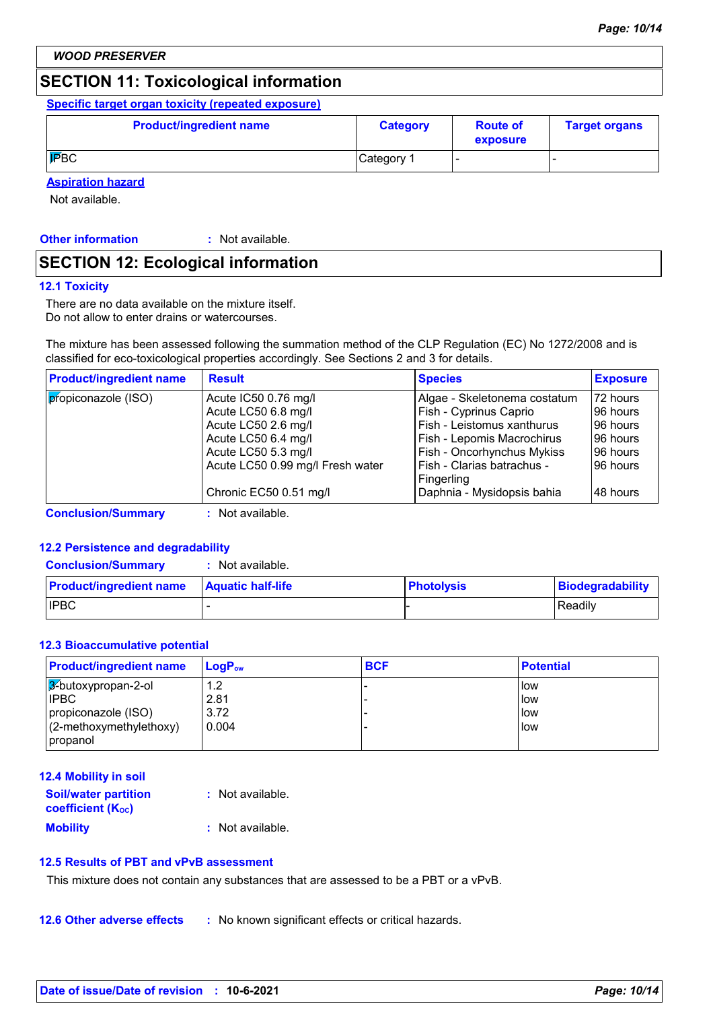## **SECTION 11: Toxicological information**

#### **Specific target organ toxicity (repeated exposure)**

| <b>Product/ingredient name</b> | <b>Category</b> | <b>Route of</b><br>exposure | <b>Target organs</b> |
|--------------------------------|-----------------|-----------------------------|----------------------|
| <b>IPBC</b>                    | Category 1      |                             |                      |

#### **Aspiration hazard**

Not available.

**Other information :** : Not available.

## **SECTION 12: Ecological information**

#### **12.1 Toxicity**

There are no data available on the mixture itself. Do not allow to enter drains or watercourses.

The mixture has been assessed following the summation method of the CLP Regulation (EC) No 1272/2008 and is classified for eco-toxicological properties accordingly. See Sections 2 and 3 for details.

| <b>Product/ingredient name</b> | <b>Result</b>                    | <b>Species</b>                           | <b>Exposure</b> |
|--------------------------------|----------------------------------|------------------------------------------|-----------------|
| propiconazole (ISO)            | Acute IC50 0.76 mg/l             | Algae - Skeletonema costatum             | 72 hours        |
|                                | Acute LC50 6.8 mg/l              | Fish - Cyprinus Caprio                   | I96 hours       |
|                                | Acute LC50 2.6 mg/l              | Fish - Leistomus xanthurus               | 196 hours       |
|                                | Acute LC50 6.4 mg/l              | Fish - Lepomis Macrochirus               | 196 hours       |
|                                | Acute LC50 5.3 mg/l              | Fish - Oncorhynchus Mykiss               | 196 hours       |
|                                | Acute LC50 0.99 mg/l Fresh water | Fish - Clarias batrachus -<br>Fingerling | 196 hours       |
|                                | Chronic EC50 0.51 mg/l           | Daphnia - Mysidopsis bahia               | 148 hours       |

**Conclusion/Summary :** Not available.

#### **12.2 Persistence and degradability**

**Conclusion/Summary :** Not available.

| <b>Product/ingredient name</b> | <b>Aquatic half-life</b> | <b>Photolysis</b> | Biodegradability |
|--------------------------------|--------------------------|-------------------|------------------|
| <b>IPBC</b>                    |                          |                   | Readily          |

#### **12.3 Bioaccumulative potential**

| <b>Product/ingredient name</b> | $LoaPow$ | <b>BCF</b> | <b>Potential</b> |
|--------------------------------|----------|------------|------------------|
| $3$ -butoxypropan-2-ol         | 1.2      |            | <b>I</b> low     |
| <b>IPBC</b>                    | 2.81     |            | low              |
| propiconazole (ISO)            | 3.72     |            | llow             |
| $(2$ -methoxymethylethoxy)     | 0.004    |            | llow             |
| propanol                       |          |            |                  |

#### **12.4 Mobility in soil**

| <b>Soil/water partition</b><br><b>coefficient (Koc)</b> | : Not available. |
|---------------------------------------------------------|------------------|
| <b>Mobility</b>                                         | : Not available. |

#### **12.5 Results of PBT and vPvB assessment**

This mixture does not contain any substances that are assessed to be a PBT or a vPvB.

**12.6 Other adverse effects** : No known significant effects or critical hazards.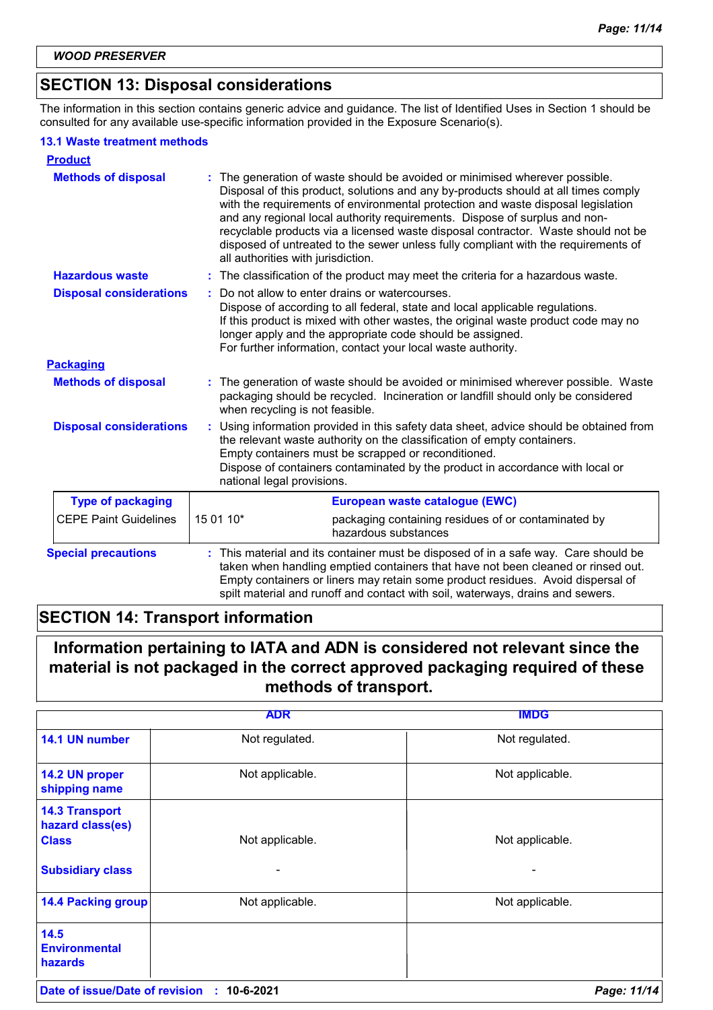## **SECTION 13: Disposal considerations**

The information in this section contains generic advice and guidance. The list of Identified Uses in Section 1 should be consulted for any available use-specific information provided in the Exposure Scenario(s).

#### **13.1 Waste treatment methods**

| <b>Product</b>                 |                                    |                                                                                                                                                                                                                                                                                                                                                                                                                                                                                                                |
|--------------------------------|------------------------------------|----------------------------------------------------------------------------------------------------------------------------------------------------------------------------------------------------------------------------------------------------------------------------------------------------------------------------------------------------------------------------------------------------------------------------------------------------------------------------------------------------------------|
| <b>Methods of disposal</b>     | all authorities with jurisdiction. | : The generation of waste should be avoided or minimised wherever possible.<br>Disposal of this product, solutions and any by-products should at all times comply<br>with the requirements of environmental protection and waste disposal legislation<br>and any regional local authority requirements. Dispose of surplus and non-<br>recyclable products via a licensed waste disposal contractor. Waste should not be<br>disposed of untreated to the sewer unless fully compliant with the requirements of |
| <b>Hazardous waste</b>         |                                    | : The classification of the product may meet the criteria for a hazardous waste.                                                                                                                                                                                                                                                                                                                                                                                                                               |
| <b>Disposal considerations</b> |                                    | Do not allow to enter drains or watercourses.<br>Dispose of according to all federal, state and local applicable regulations.<br>If this product is mixed with other wastes, the original waste product code may no<br>longer apply and the appropriate code should be assigned.<br>For further information, contact your local waste authority.                                                                                                                                                               |
| <b>Packaging</b>               |                                    |                                                                                                                                                                                                                                                                                                                                                                                                                                                                                                                |
| <b>Methods of disposal</b>     | when recycling is not feasible.    | The generation of waste should be avoided or minimised wherever possible. Waste<br>packaging should be recycled. Incineration or landfill should only be considered                                                                                                                                                                                                                                                                                                                                            |
| <b>Disposal considerations</b> | national legal provisions.         | Using information provided in this safety data sheet, advice should be obtained from<br>the relevant waste authority on the classification of empty containers.<br>Empty containers must be scrapped or reconditioned.<br>Dispose of containers contaminated by the product in accordance with local or                                                                                                                                                                                                        |
| <b>Type of packaging</b>       |                                    | European waste catalogue (EWC)                                                                                                                                                                                                                                                                                                                                                                                                                                                                                 |
| <b>CEPE Paint Guidelines</b>   | 15 01 10*                          | packaging containing residues of or contaminated by<br>hazardous substances                                                                                                                                                                                                                                                                                                                                                                                                                                    |
| <b>Special precautions</b>     |                                    | This material and its container must be disposed of in a safe way. Care should be<br>taken when handling emptied containers that have not been cleaned or rinsed out.<br>Empty containers or liners may retain some product residues. Avoid dispersal of<br>spilt material and runoff and contact with soil, waterways, drains and sewers.                                                                                                                                                                     |

## **SECTION 14: Transport information**

## **Information pertaining to IATA and ADN is considered not relevant since the material is not packaged in the correct approved packaging required of these methods of transport.**

|                                                           | <b>ADR</b>      | <b>IMDG</b>     |
|-----------------------------------------------------------|-----------------|-----------------|
| 14.1 UN number                                            | Not regulated.  | Not regulated.  |
| 14.2 UN proper<br>shipping name                           | Not applicable. | Not applicable. |
| <b>14.3 Transport</b><br>hazard class(es)<br><b>Class</b> | Not applicable. | Not applicable. |
| <b>Subsidiary class</b>                                   |                 |                 |
| <b>14.4 Packing group</b>                                 | Not applicable. | Not applicable. |
| 14.5<br><b>Environmental</b><br><b>hazards</b>            |                 |                 |
| Date of issue/Date of revision                            | 10-6-2021<br>÷. | Page: 11/14     |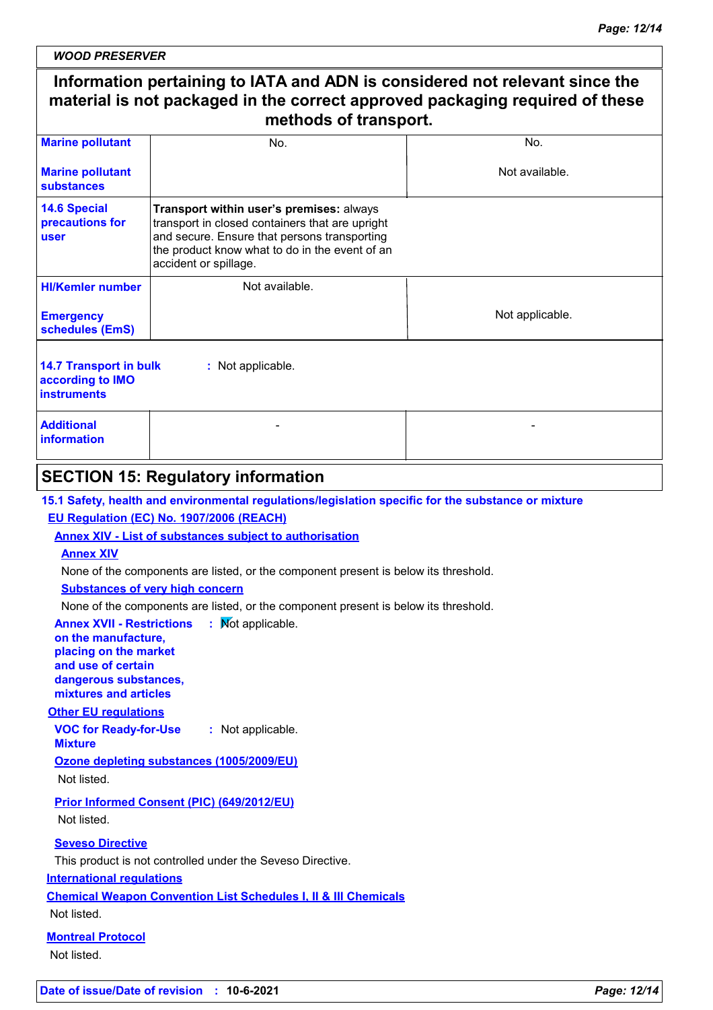*WOOD PRESERVER*

## **Information pertaining to IATA and ADN is considered not relevant since the material is not packaged in the correct approved packaging required of these methods of transport.**

| <b>Marine pollutant</b>                                                                      | No.                                                                                                                                                                                                                    | No.             |  |
|----------------------------------------------------------------------------------------------|------------------------------------------------------------------------------------------------------------------------------------------------------------------------------------------------------------------------|-----------------|--|
| <b>Marine pollutant</b><br>substances                                                        |                                                                                                                                                                                                                        | Not available.  |  |
| <b>14.6 Special</b><br>precautions for<br>user                                               | Transport within user's premises: always<br>transport in closed containers that are upright<br>and secure. Ensure that persons transporting<br>the product know what to do in the event of an<br>accident or spillage. |                 |  |
| <b>HI/Kemler number</b>                                                                      | Not available.                                                                                                                                                                                                         |                 |  |
| <b>Emergency</b><br>schedules (EmS)                                                          |                                                                                                                                                                                                                        | Not applicable. |  |
| <b>14.7 Transport in bulk</b><br>: Not applicable.<br>according to IMO<br><b>instruments</b> |                                                                                                                                                                                                                        |                 |  |
| <b>Additional</b><br><b>information</b>                                                      |                                                                                                                                                                                                                        |                 |  |
|                                                                                              |                                                                                                                                                                                                                        |                 |  |

### **SECTION 15: Regulatory information**

**15.1 Safety, health and environmental regulations/legislation specific for the substance or mixture**

#### **EU Regulation (EC) No. 1907/2006 (REACH)**

**Annex XIV - List of substances subject to authorisation**

#### **Annex XIV**

None of the components are listed, or the component present is below its threshold.

#### **Substances of very high concern**

None of the components are listed, or the component present is below its threshold.

**Annex XVII - Restrictions : Mot applicable.** 

#### **on the manufacture, placing on the market and use of certain dangerous substances, mixtures and articles**

#### **Other EU regulations**

**VOC for Ready-for-Use Mixture :** Not applicable.

**Ozone depleting substances (1005/2009/EU)** Not listed.

**Prior Informed Consent (PIC) (649/2012/EU)**

Not listed.

#### **Seveso Directive**

This product is not controlled under the Seveso Directive.

#### **International regulations**

**Chemical Weapon Convention List Schedules I, II & III Chemicals**

Not listed.

#### **Montreal Protocol** Not listed.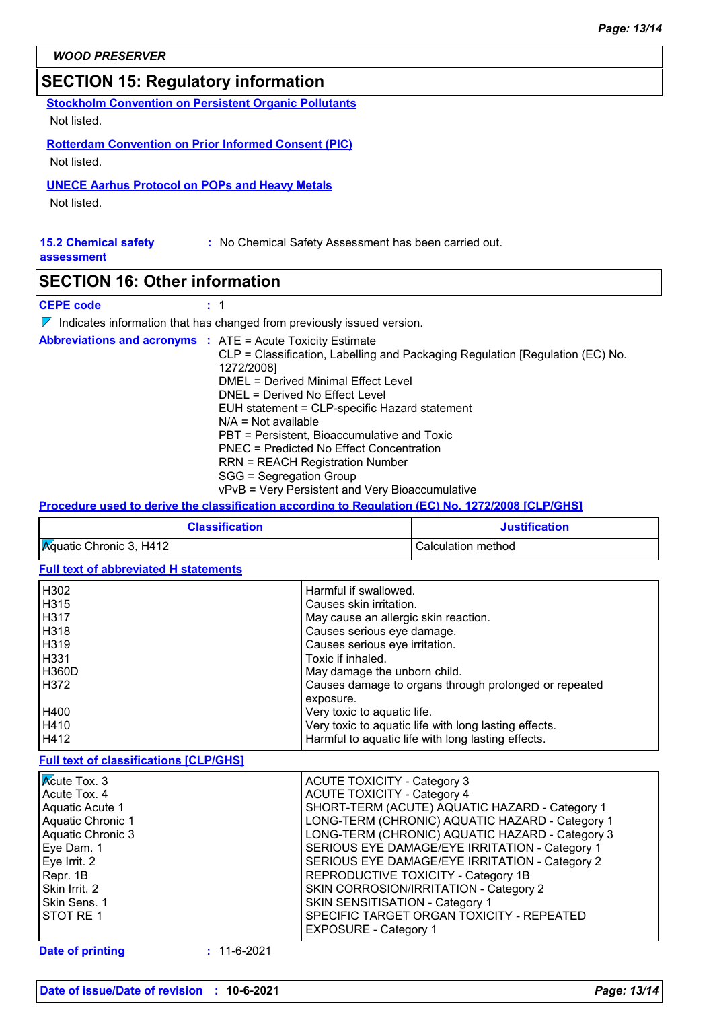## **SECTION 15: Regulatory information**

**Stockholm Convention on Persistent Organic Pollutants**

Not listed.

#### **Rotterdam Convention on Prior Informed Consent (PIC)**

Not listed.

#### **UNECE Aarhus Protocol on POPs and Heavy Metals**

Not listed.

#### **15.2 Chemical safety assessment :** No Chemical Safety Assessment has been carried out.

### **SECTION 16: Other information**

#### **CEPE code :** 1

 $\nabla$  Indicates information that has changed from previously issued version.

| <b>Abbreviations and acronyms : ATE = Acute Toxicity Estimate</b> | CLP = Classification, Labelling and Packaging Regulation [Regulation (EC) No. |
|-------------------------------------------------------------------|-------------------------------------------------------------------------------|
|                                                                   | 1272/2008]                                                                    |
|                                                                   | DMEL = Derived Minimal Effect Level                                           |
|                                                                   | DNEL = Derived No Effect Level                                                |
|                                                                   | EUH statement = CLP-specific Hazard statement                                 |
|                                                                   | $N/A = Not available$                                                         |
|                                                                   | PBT = Persistent, Bioaccumulative and Toxic                                   |
|                                                                   | PNEC = Predicted No Effect Concentration                                      |
|                                                                   | <b>RRN = REACH Registration Number</b>                                        |
|                                                                   | SGG = Segregation Group                                                       |
|                                                                   | vPvB = Very Persistent and Very Bioaccumulative                               |

**Procedure used to derive the classification according to Regulation (EC) No. 1272/2008 [CLP/GHS]**

| <b>Classification</b>                | <b>Justification</b> |
|--------------------------------------|----------------------|
| $\mathcal{R}$ quatic Chronic 3, H412 | Calculation method   |

#### **Full text of abbreviated H statements**

| H302                                          | Harmful if swallowed.                                 |
|-----------------------------------------------|-------------------------------------------------------|
| H315                                          | Causes skin irritation.                               |
| H317                                          | May cause an allergic skin reaction.                  |
| H318                                          | Causes serious eye damage.                            |
| H319                                          | Causes serious eye irritation.                        |
| H331                                          | Toxic if inhaled.                                     |
| <b>H360D</b>                                  | May damage the unborn child.                          |
| H372                                          | Causes damage to organs through prolonged or repeated |
|                                               | exposure.                                             |
| H400                                          | Very toxic to aquatic life.                           |
| H410                                          | Very toxic to aquatic life with long lasting effects. |
| H412                                          | Harmful to aquatic life with long lasting effects.    |
| <b>Full text of classifications [CLP/GHS]</b> |                                                       |
| <b>K</b> cute Tox. 3                          | <b>ACUTE TOXICITY - Category 3</b>                    |
| Acute Tox. 4                                  | <b>ACUTE TOXICITY - Category 4</b>                    |
| .                                             |                                                       |

| LOUIG TUAL U      | AUUTE TUMUITT - UdicyUITU                       |
|-------------------|-------------------------------------------------|
| Acute Tox, 4      | <b>ACUTE TOXICITY - Category 4</b>              |
| Aquatic Acute 1   | SHORT-TERM (ACUTE) AQUATIC HAZARD - Category 1  |
| Aquatic Chronic 1 | LONG-TERM (CHRONIC) AQUATIC HAZARD - Category 1 |
| Aquatic Chronic 3 | LONG-TERM (CHRONIC) AQUATIC HAZARD - Category 3 |
| Eye Dam. 1        | SERIOUS EYE DAMAGE/EYE IRRITATION - Category 1  |
| Eye Irrit. 2      | SERIOUS EYE DAMAGE/EYE IRRITATION - Category 2  |
| Repr. 1B          | REPRODUCTIVE TOXICITY - Category 1B             |
| Skin Irrit. 2     | SKIN CORROSION/IRRITATION - Category 2          |
| Skin Sens. 1      | SKIN SENSITISATION - Category 1                 |
| <b>STOT RE1</b>   | SPECIFIC TARGET ORGAN TOXICITY - REPEATED       |
|                   | <b>EXPOSURE - Category 1</b>                    |
|                   |                                                 |

**Date of printing :** 11-6-2021